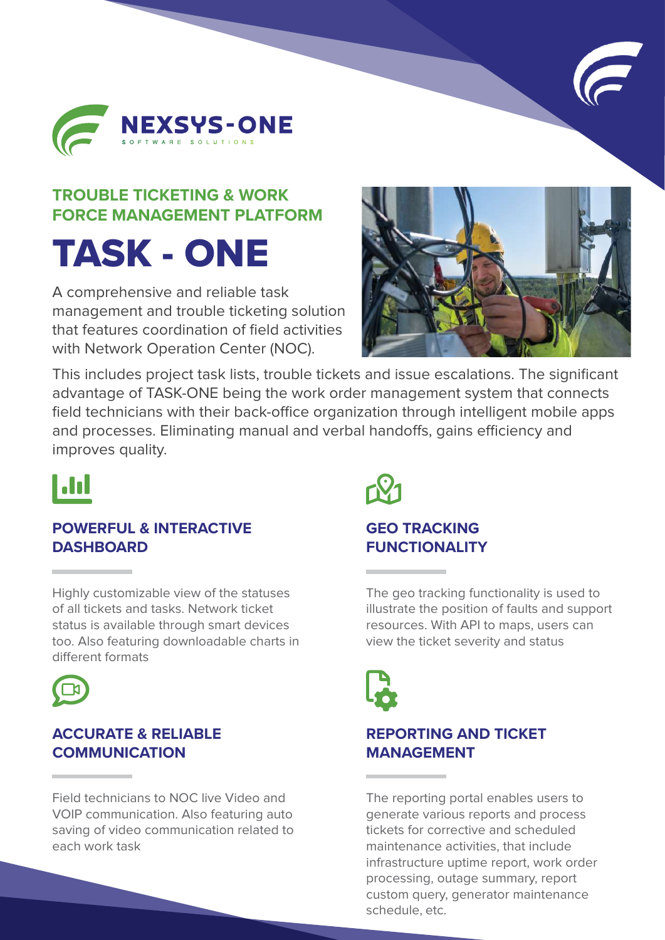



## **TROUBLE TICKETING & WORK FORCE MANAGEMENT PLATFORM**

# TASK - ONE

A comprehensive and reliable task management and trouble ticketing solution that features coordination of field activities with Network Operation Center (NOC).



This includes project task lists, trouble tickets and issue escalations. The significant advantage of TASK-ONE being the work order management system that connects field technicians with their back-office organization through intelligent mobile apps and processes. Eliminating manual and verbal handoffs, gains efficiency and improves quality.



#### **POWERFUL & INTERACTIVE DASHBOARD**

Highly customizable view of the statuses of all tickets and tasks. Network ticket status is available through smart devices too. Also featuring downloadable charts in different formats



### **ACCURATE & RELIABLE COMMUNICATION**

Field technicians to NOC live Video and VOIP communication. Also featuring auto saving of video communication related to each work task



### **GEO TRACKING FUNCTIONALITY**

The geo tracking functionality is used to illustrate the position of faults and support resources. With API to maps, users can view the ticket severity and status



## **REPORTING AND TICKET MANAGEMENT**

The reporting portal enables users to generate various reports and process tickets for corrective and scheduled maintenance activities, that include infrastructure uptime report, work order processing, outage summary, report custom query, generator maintenance schedule, etc.